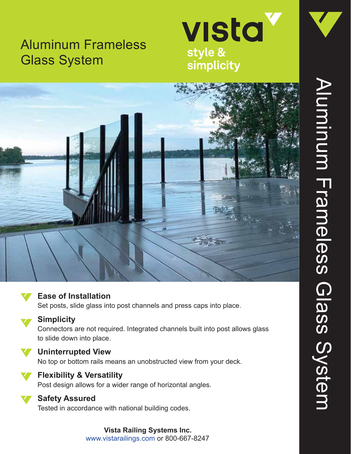# Aluminum Frameless Glass System







### **Ease of Installation**

Set posts, slide glass into post channels and press caps into place.

**Simplicity**

Connectors are not required. Integrated channels built into post allows glass to slide down into place.

**Uninterrupted View**

No top or bottom rails means an unobstructed view from your deck.



## **Flexibility & Versatility**

Post design allows for a wider range of horizontal angles.

**Safety Assured**

Tested in accordance with national building codes.

**Vista Railing Systems Inc.** www.vistarailings.com or 800-667-8247